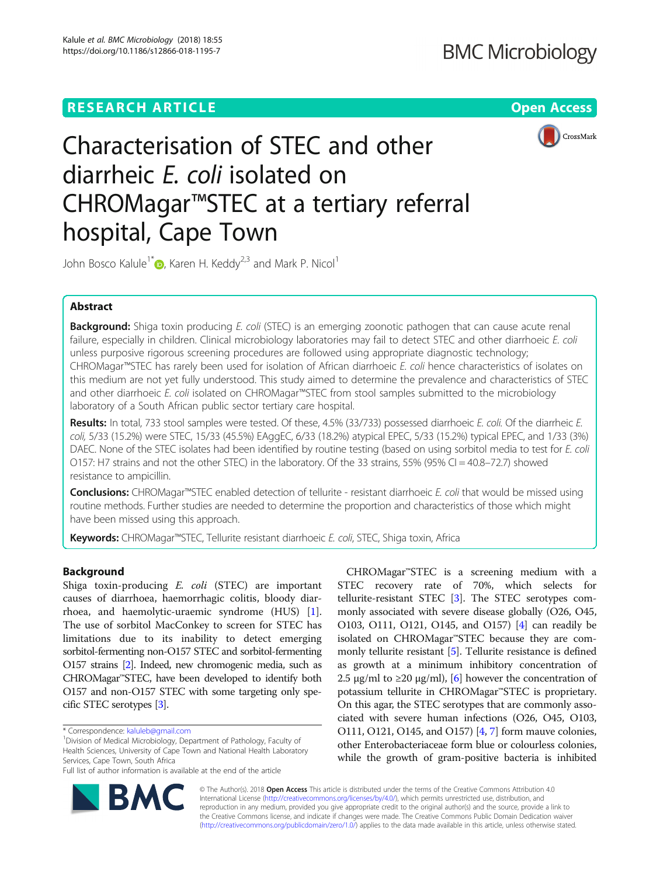# **RESEARCH ARTICLE Example 2018 12:30 THE Open Access**



# Characterisation of STEC and other diarrheic E. coli isolated on CHROMagar™STEC at a tertiary referral hospital, Cape Town

John Bosco Kalule<sup>1[\\*](http://orcid.org/0000-0003-3409-4327)</sup> **D**, Karen H. Keddy<sup>2,3</sup> and Mark P. Nicol<sup>1</sup>

# Abstract

Background: Shiga toxin producing E. coli (STEC) is an emerging zoonotic pathogen that can cause acute renal failure, especially in children. Clinical microbiology laboratories may fail to detect STEC and other diarrhoeic E. coli unless purposive rigorous screening procedures are followed using appropriate diagnostic technology; CHROMagar™STEC has rarely been used for isolation of African diarrhoeic E. coli hence characteristics of isolates on this medium are not yet fully understood. This study aimed to determine the prevalence and characteristics of STEC and other diarrhoeic E. coli isolated on CHROMagar™STEC from stool samples submitted to the microbiology laboratory of a South African public sector tertiary care hospital.

Results: In total, 733 stool samples were tested. Of these, 4.5% (33/733) possessed diarrhoeic E. coli. Of the diarrheic E. coli, 5/33 (15.2%) were STEC, 15/33 (45.5%) EAggEC, 6/33 (18.2%) atypical EPEC, 5/33 (15.2%) typical EPEC, and 1/33 (3%) DAEC. None of the STEC isolates had been identified by routine testing (based on using sorbitol media to test for E. coli O157: H7 strains and not the other STEC) in the laboratory. Of the 33 strains, 55% (95% CI = 40.8–72.7) showed resistance to ampicillin.

Conclusions: CHROMagar™STEC enabled detection of tellurite - resistant diarrhoeic E. coli that would be missed using routine methods. Further studies are needed to determine the proportion and characteristics of those which might have been missed using this approach.

Keywords: CHROMagar™STEC, Tellurite resistant diarrhoeic E. coli, STEC, Shiga toxin, Africa

# Background

Shiga toxin-producing E. coli (STEC) are important causes of diarrhoea, haemorrhagic colitis, bloody diarrhoea, and haemolytic-uraemic syndrome (HUS) [\[1](#page-6-0)]. The use of sorbitol MacConkey to screen for STEC has limitations due to its inability to detect emerging sorbitol-fermenting non-O157 STEC and sorbitol-fermenting O157 strains [\[2\]](#page-7-0). Indeed, new chromogenic media, such as CHROMagar™STEC, have been developed to identify both O157 and non-O157 STEC with some targeting only specific STEC serotypes [[3](#page-7-0)].

<sup>1</sup> Division of Medical Microbiology, Department of Pathology, Faculty of Health Sciences, University of Cape Town and National Health Laboratory Services, Cape Town, South Africa

CHROMagar™STEC is a screening medium with a STEC recovery rate of 70%, which selects for tellurite-resistant STEC [[3\]](#page-7-0). The STEC serotypes commonly associated with severe disease globally (O26, O45, O103, O111, O121, O145, and O157) [[4](#page-7-0)] can readily be isolated on CHROMagar™STEC because they are commonly tellurite resistant [\[5\]](#page-7-0). Tellurite resistance is defined as growth at a minimum inhibitory concentration of 2.5  $\mu$ g/ml to ≥20  $\mu$ g/ml), [[6](#page-7-0)] however the concentration of potassium tellurite in CHROMagar™STEC is proprietary. On this agar, the STEC serotypes that are commonly associated with severe human infections (O26, O45, O103, O111, O121, O145, and O157) [[4,](#page-7-0) [7\]](#page-7-0) form mauve colonies, other Enterobacteriaceae form blue or colourless colonies, while the growth of gram-positive bacteria is inhibited



© The Author(s). 2018 Open Access This article is distributed under the terms of the Creative Commons Attribution 4.0 International License [\(http://creativecommons.org/licenses/by/4.0/](http://creativecommons.org/licenses/by/4.0/)), which permits unrestricted use, distribution, and reproduction in any medium, provided you give appropriate credit to the original author(s) and the source, provide a link to the Creative Commons license, and indicate if changes were made. The Creative Commons Public Domain Dedication waiver [\(http://creativecommons.org/publicdomain/zero/1.0/](http://creativecommons.org/publicdomain/zero/1.0/)) applies to the data made available in this article, unless otherwise stated.

<sup>\*</sup> Correspondence: [kaluleb@gmail.com](mailto:kaluleb@gmail.com) <sup>1</sup>

Full list of author information is available at the end of the article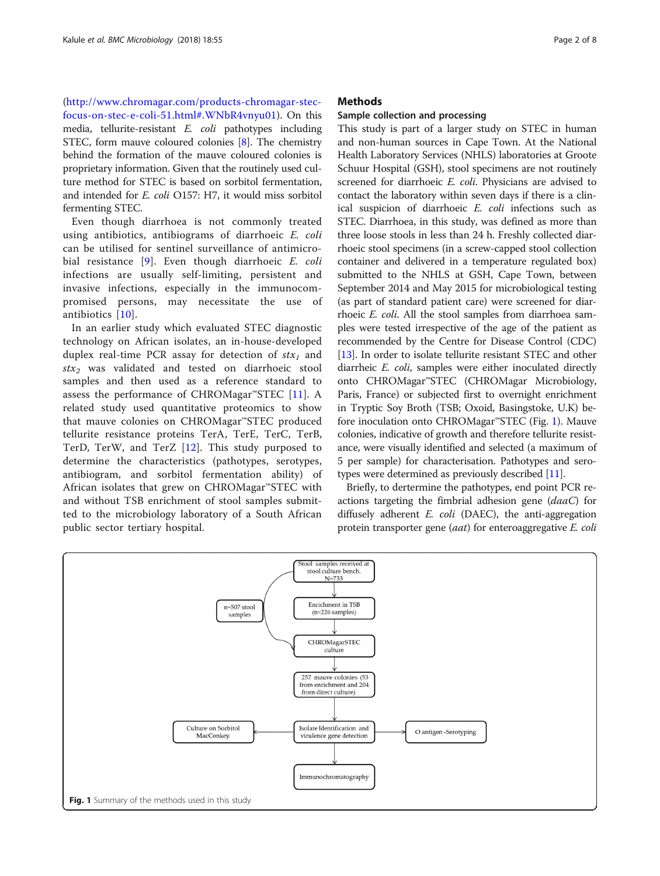([http://www.chromagar.com/products-chromagar-stec](http://www.chromagar.com/products-chromagar-stec-focus-on-stec-e-coli-51.html#.WNbR4vnyu01)[focus-on-stec-e-coli-51.html#.WNbR4vnyu01\)](http://www.chromagar.com/products-chromagar-stec-focus-on-stec-e-coli-51.html#.WNbR4vnyu01). On this media, tellurite-resistant E. coli pathotypes including STEC, form mauve coloured colonies [[8\]](#page-7-0). The chemistry behind the formation of the mauve coloured colonies is proprietary information. Given that the routinely used culture method for STEC is based on sorbitol fermentation, and intended for E. coli O157: H7, it would miss sorbitol fermenting STEC.

Even though diarrhoea is not commonly treated using antibiotics, antibiograms of diarrhoeic E. coli can be utilised for sentinel surveillance of antimicrobial resistance [\[9\]](#page-7-0). Even though diarrhoeic E. coli infections are usually self-limiting, persistent and invasive infections, especially in the immunocompromised persons, may necessitate the use of antibiotics [\[10](#page-7-0)].

In an earlier study which evaluated STEC diagnostic technology on African isolates, an in-house-developed duplex real-time PCR assay for detection of  $stx_1$  and  $stx<sub>2</sub>$  was validated and tested on diarrhoeic stool samples and then used as a reference standard to assess the performance of CHROMagar<sup>™</sup>STEC [[11\]](#page-7-0). A related study used quantitative proteomics to show that mauve colonies on CHROMagar™STEC produced tellurite resistance proteins TerA, TerE, TerC, TerB, TerD, TerW, and TerZ [\[12](#page-7-0)]. This study purposed to determine the characteristics (pathotypes, serotypes, antibiogram, and sorbitol fermentation ability) of African isolates that grew on CHROMagar™STEC with and without TSB enrichment of stool samples submitted to the microbiology laboratory of a South African public sector tertiary hospital.

# **Methods**

#### Sample collection and processing

This study is part of a larger study on STEC in human and non-human sources in Cape Town. At the National Health Laboratory Services (NHLS) laboratories at Groote Schuur Hospital (GSH), stool specimens are not routinely screened for diarrhoeic E. coli. Physicians are advised to contact the laboratory within seven days if there is a clinical suspicion of diarrhoeic E. coli infections such as STEC. Diarrhoea, in this study, was defined as more than three loose stools in less than 24 h. Freshly collected diarrhoeic stool specimens (in a screw-capped stool collection container and delivered in a temperature regulated box) submitted to the NHLS at GSH, Cape Town, between September 2014 and May 2015 for microbiological testing (as part of standard patient care) were screened for diarrhoeic E. coli. All the stool samples from diarrhoea samples were tested irrespective of the age of the patient as recommended by the Centre for Disease Control (CDC) [[13](#page-7-0)]. In order to isolate tellurite resistant STEC and other diarrheic E. coli, samples were either inoculated directly onto CHROMagar™STEC (CHROMagar Microbiology, Paris, France) or subjected first to overnight enrichment in Tryptic Soy Broth (TSB; Oxoid, Basingstoke, U.K) before inoculation onto CHROMagar™STEC (Fig. 1). Mauve colonies, indicative of growth and therefore tellurite resistance, were visually identified and selected (a maximum of 5 per sample) for characterisation. Pathotypes and serotypes were determined as previously described [[11](#page-7-0)].

Briefly, to dertermine the pathotypes, end point PCR reactions targeting the fimbrial adhesion gene  $(daaC)$  for diffusely adherent  $E.$   $coll$  (DAEC), the anti-aggregation protein transporter gene (*aat*) for enteroaggregative *E. coli* 

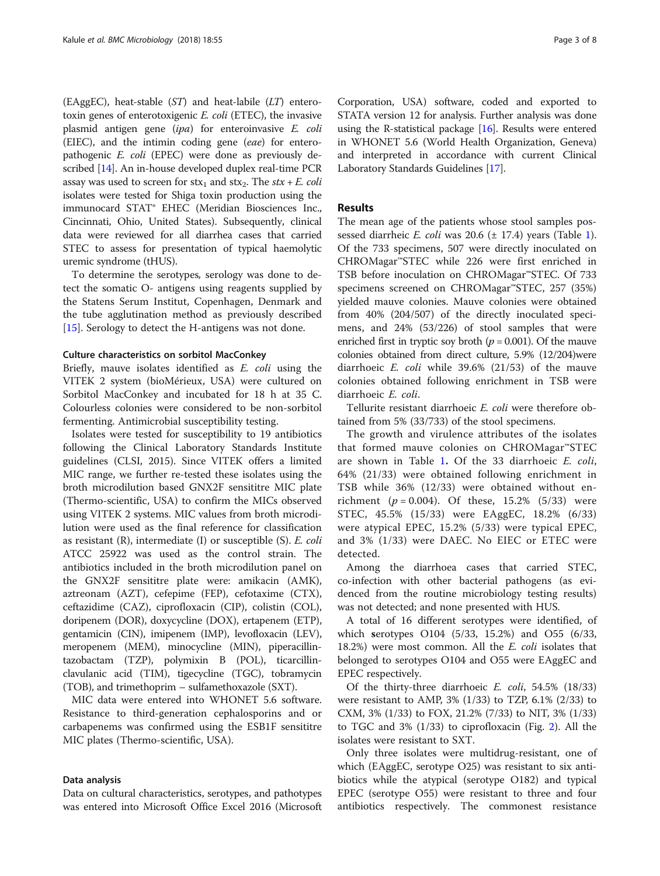(EAggEC), heat-stable  $(ST)$  and heat-labile  $(LT)$  enterotoxin genes of enterotoxigenic E. coli (ETEC), the invasive plasmid antigen gene (ipa) for enteroinvasive E. coli (EIEC), and the intimin coding gene (eae) for enteropathogenic E. coli (EPEC) were done as previously described [\[14\]](#page-7-0). An in-house developed duplex real-time PCR assay was used to screen for stx<sub>1</sub> and stx<sub>2</sub>. The stx + E. coli isolates were tested for Shiga toxin production using the immunocard STAT® EHEC (Meridian Biosciences Inc., Cincinnati, Ohio, United States). Subsequently, clinical data were reviewed for all diarrhea cases that carried STEC to assess for presentation of typical haemolytic uremic syndrome (tHUS).

To determine the serotypes, serology was done to detect the somatic O- antigens using reagents supplied by the Statens Serum Institut, Copenhagen, Denmark and the tube agglutination method as previously described [[15\]](#page-7-0). Serology to detect the H-antigens was not done.

## Culture characteristics on sorbitol MacConkey

Briefly, mauve isolates identified as E. coli using the VITEK 2 system (bioMérieux, USA) were cultured on Sorbitol MacConkey and incubated for 18 h at 35 C. Colourless colonies were considered to be non-sorbitol fermenting. Antimicrobial susceptibility testing.

Isolates were tested for susceptibility to 19 antibiotics following the Clinical Laboratory Standards Institute guidelines (CLSI, 2015). Since VITEK offers a limited MIC range, we further re-tested these isolates using the broth microdilution based GNX2F sensititre MIC plate (Thermo-scientific, USA) to confirm the MICs observed using VITEK 2 systems. MIC values from broth microdilution were used as the final reference for classification as resistant  $(R)$ , intermediate  $(I)$  or susceptible  $(S)$ . E. coli ATCC 25922 was used as the control strain. The antibiotics included in the broth microdilution panel on the GNX2F sensititre plate were: amikacin (AMK), aztreonam (AZT), cefepime (FEP), cefotaxime (CTX), ceftazidime (CAZ), ciprofloxacin (CIP), colistin (COL), doripenem (DOR), doxycycline (DOX), ertapenem (ETP), gentamicin (CIN), imipenem (IMP), levofloxacin (LEV), meropenem (MEM), minocycline (MIN), piperacillintazobactam (TZP), polymixin B (POL), ticarcillinclavulanic acid (TIM), tigecycline (TGC), tobramycin (TOB), and trimethoprim – sulfamethoxazole (SXT).

MIC data were entered into WHONET 5.6 software. Resistance to third-generation cephalosporins and or carbapenems was confirmed using the ESB1F sensititre MIC plates (Thermo-scientific, USA).

### Data analysis

Data on cultural characteristics, serotypes, and pathotypes was entered into Microsoft Office Excel 2016 (Microsoft

Corporation, USA) software, coded and exported to STATA version 12 for analysis. Further analysis was done using the R-statistical package [[16](#page-7-0)]. Results were entered in WHONET 5.6 (World Health Organization, Geneva) and interpreted in accordance with current Clinical Laboratory Standards Guidelines [[17](#page-7-0)].

# Results

The mean age of the patients whose stool samples possessed diarrheic E. coli was  $20.6$  ( $\pm$  [1](#page-3-0)7.4) years (Table 1). Of the 733 specimens, 507 were directly inoculated on CHROMagar™STEC while 226 were first enriched in TSB before inoculation on CHROMagar™STEC. Of 733 specimens screened on CHROMagar™STEC, 257 (35%) yielded mauve colonies. Mauve colonies were obtained from 40% (204/507) of the directly inoculated specimens, and 24% (53/226) of stool samples that were enriched first in tryptic soy broth ( $p = 0.001$ ). Of the mauve colonies obtained from direct culture, 5.9% (12/204)were diarrhoeic  $E.$  coli while 39.6% (21/53) of the mauve colonies obtained following enrichment in TSB were diarrhoeic E. coli.

Tellurite resistant diarrhoeic E. coli were therefore obtained from 5% (33/733) of the stool specimens.

The growth and virulence attributes of the isolates that formed mauve colonies on CHROMagar™STEC are shown in Table [1](#page-3-0). Of the 33 diarrhoeic E. coli, 64% (21/33) were obtained following enrichment in TSB while 36% (12/33) were obtained without enrichment ( $p = 0.004$ ). Of these, 15.2% (5/33) were STEC, 45.5% (15/33) were EAggEC, 18.2% (6/33) were atypical EPEC, 15.2% (5/33) were typical EPEC, and 3% (1/33) were DAEC. No EIEC or ETEC were detected.

Among the diarrhoea cases that carried STEC, co-infection with other bacterial pathogens (as evidenced from the routine microbiology testing results) was not detected; and none presented with HUS.

A total of 16 different serotypes were identified, of which serotypes O104 (5/33, 15.2%) and O55 (6/33, 18.2%) were most common. All the E. coli isolates that belonged to serotypes O104 and O55 were EAggEC and EPEC respectively.

Of the thirty-three diarrhoeic E. coli, 54.5% (18/33) were resistant to AMP, 3% (1/33) to TZP, 6.1% (2/33) to CXM, 3% (1/33) to FOX, 21.2% (7/33) to NIT, 3% (1/33) to TGC and 3% (1/33) to ciprofloxacin (Fig. [2](#page-4-0)). All the isolates were resistant to SXT.

Only three isolates were multidrug-resistant, one of which (EAggEC, serotype O25) was resistant to six antibiotics while the atypical (serotype O182) and typical EPEC (serotype O55) were resistant to three and four antibiotics respectively. The commonest resistance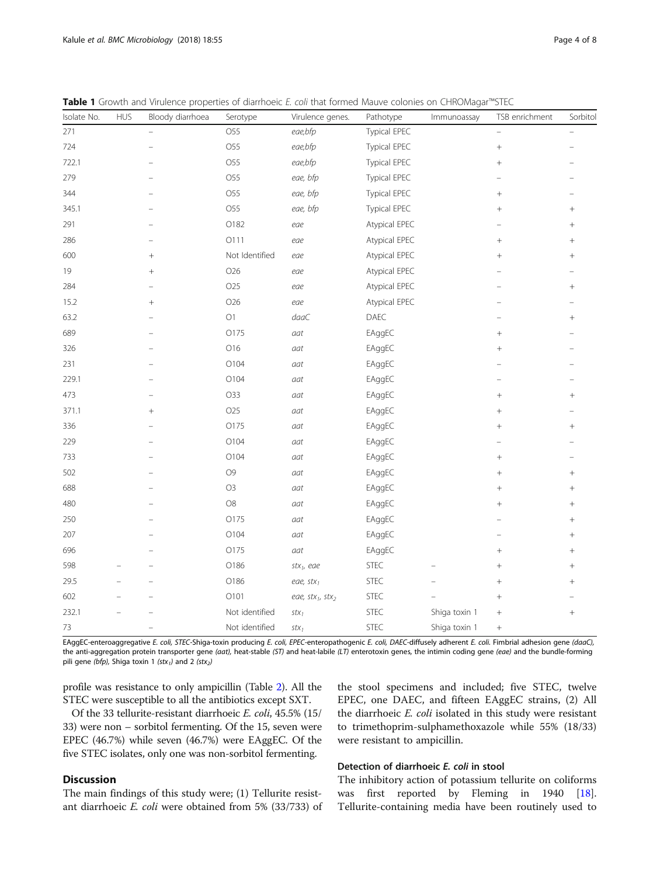| Isolate No. | <b>HUS</b> | Bloody diarrhoea | Serotype        | Virulence genes.       | Pathotype     | Immunoassay   | TSB enrichment | Sorbitol |
|-------------|------------|------------------|-----------------|------------------------|---------------|---------------|----------------|----------|
| 271         |            |                  | O55             | eae,bfp                | Typical EPEC  |               |                |          |
| 724         |            |                  | O55             | eae,bfp                | Typical EPEC  |               | $\! + \!$      |          |
| 722.1       |            |                  | O55             | eae,bfp                | Typical EPEC  |               | $^{+}$         |          |
| 279         |            |                  | O <sub>55</sub> | eae, bfp               | Typical EPEC  |               |                |          |
| 344         |            |                  | O55             | eae, bfp               | Typical EPEC  |               | $^+$           |          |
| 345.1       |            |                  | O55             | eae, bfp               | Typical EPEC  |               | $^+$           | $^{+}$   |
| 291         |            |                  | O182            | eae                    | Atypical EPEC |               |                | $^{+}$   |
| 286         |            |                  | 0111            | eae                    | Atypical EPEC |               | $^+$           | $^{+}$   |
| 600         |            | $^{+}$           | Not Identified  | eae                    | Atypical EPEC |               | $^{+}$         | $^{+}$   |
| $19$        |            | $^{+}$           | O26             | eae                    | Atypical EPEC |               |                |          |
| 284         |            |                  | O25             | eae                    | Atypical EPEC |               |                | $^{+}$   |
| 15.2        |            | $^{+}$           | O26             | eae                    | Atypical EPEC |               |                |          |
| 63.2        |            |                  | O <sub>1</sub>  | daaC                   | DAEC          |               |                | $^{+}$   |
| 689         |            |                  | O175            | aat                    | EAggEC        |               | $^{+}$         |          |
| 326         |            |                  | O16             | aat                    | EAggEC        |               | $^{+}$         |          |
| 231         |            |                  | O104            | aat                    | EAggEC        |               |                |          |
| 229.1       |            |                  | O104            | aat                    | EAggEC        |               |                |          |
| 473         |            |                  | O33             | aat                    | EAggEC        |               | $\! +$         | $^{+}$   |
| 371.1       |            | $^{+}$           | O25             | aat                    | EAggEC        |               | $^+$           |          |
| 336         |            |                  | O175            | aat                    | EAggEC        |               | $^{+}$         | $^{+}$   |
| 229         |            |                  | O104            | aat                    | EAggEC        |               |                |          |
| 733         |            |                  | O104            | aat                    | EAggEC        |               | $^+$           |          |
| 502         |            |                  | O <sub>9</sub>  | aat                    | EAggEC        |               | $^{+}$         | $^{+}$   |
| 688         |            |                  | O <sub>3</sub>  | aat                    | EAggEC        |               | $^{+}$         | $^{+}$   |
| 480         |            |                  | $\mathrm{O}8$   | aat                    | EAggEC        |               | $^{+}$         | $^{+}$   |
| 250         |            |                  | O175            | aat                    | EAggEC        |               |                | $^{+}$   |
| 207         |            |                  | O104            | aat                    | EAggEC        |               |                | $\! +$   |
| 696         |            |                  | O175            | aat                    | EAggEC        |               | $^{+}$         | $^{+}$   |
| 598         |            |                  | O186            | $stx_1$ , eae          | STEC          |               | $^{+}$         | $^{+}$   |
| 29.5        |            |                  | O186            | eae, $stx_1$           | STEC          |               | $\! + \!$      | $^{+}$   |
| 602         |            |                  | O101            | eae, $stx_1$ , $stx_2$ | <b>STEC</b>   |               | $^+$           |          |
| 232.1       |            |                  | Not identified  | $stx_1$                | <b>STEC</b>   | Shiga toxin 1 | $\! + \!$      | $\! +$   |
| $73\,$      |            |                  | Not identified  | $stx_1$                | <b>STEC</b>   | Shiga toxin 1 | $^+$           |          |

<span id="page-3-0"></span>Table 1 Growth and Virulence properties of diarrhoeic E. coli that formed Mauve colonies on CHROMagar™STEC

EAggEC-enteroaggregative E. coli, STEC-Shiga-toxin producing E. coli, EPEC-enteropathogenic E. coli, DAEC-diffusely adherent E. coli. Fimbrial adhesion gene (daaC), the anti-aggregation protein transporter gene (aat), heat-stable (ST) and heat-labile (LT) enterotoxin genes, the intimin coding gene (eae) and the bundle-forming pili gene (bfp), Shiga toxin 1 (stx<sub>1</sub>) and 2 (stx<sub>2</sub>)

profile was resistance to only ampicillin (Table [2](#page-4-0)). All the STEC were susceptible to all the antibiotics except SXT.

Of the 33 tellurite-resistant diarrhoeic E. coli, 45.5% (15/ 33) were non – sorbitol fermenting. Of the 15, seven were EPEC (46.7%) while seven (46.7%) were EAggEC. Of the five STEC isolates, only one was non-sorbitol fermenting.

# the stool specimens and included; five STEC, twelve EPEC, one DAEC, and fifteen EAggEC strains, (2) All the diarrhoeic E. coli isolated in this study were resistant to trimethoprim-sulphamethoxazole while 55% (18/33) were resistant to ampicillin.

# **Discussion**

The main findings of this study were; (1) Tellurite resistant diarrhoeic E. coli were obtained from 5% (33/733) of

# Detection of diarrhoeic E. coli in stool

The inhibitory action of potassium tellurite on coliforms was first reported by Fleming in 1940 [\[18](#page-7-0)]. Tellurite-containing media have been routinely used to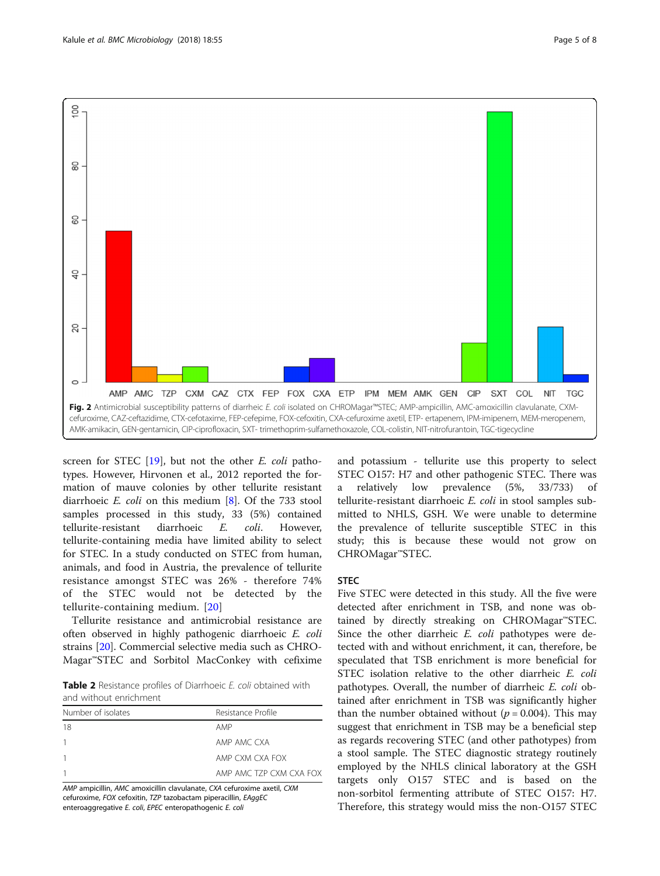<span id="page-4-0"></span>

screen for STEC  $[19]$  $[19]$ , but not the other *E. coli* pathotypes. However, Hirvonen et al., 2012 reported the formation of mauve colonies by other tellurite resistant diarrhoeic E. coli on this medium [\[8](#page-7-0)]. Of the 733 stool samples processed in this study, 33 (5%) contained tellurite-resistant diarrhoeic E. coli. However, tellurite-containing media have limited ability to select for STEC. In a study conducted on STEC from human, animals, and food in Austria, the prevalence of tellurite resistance amongst STEC was 26% - therefore 74% of the STEC would not be detected by the tellurite-containing medium. [\[20](#page-7-0)]

Tellurite resistance and antimicrobial resistance are often observed in highly pathogenic diarrhoeic E. coli strains [[20](#page-7-0)]. Commercial selective media such as CHRO-Magar™STEC and Sorbitol MacConkey with cefixime

Table 2 Resistance profiles of Diarrhoeic E. coli obtained with and without enrichment

| Number of isolates | Resistance Profile      |  |  |  |
|--------------------|-------------------------|--|--|--|
| 18                 | AMP                     |  |  |  |
|                    | AMP AMC CXA             |  |  |  |
|                    | AMP CXM CXA FOX         |  |  |  |
|                    | AMP AMC TZP CXM CXA FOX |  |  |  |

AMP ampicillin, AMC amoxicillin clavulanate, CXA cefuroxime axetil, CXM cefuroxime, FOX cefoxitin, TZP tazobactam piperacillin, EAggEC enteroaggregative E. coli, EPEC enteropathogenic E. coli

and potassium - tellurite use this property to select STEC O157: H7 and other pathogenic STEC. There was a relatively low prevalence (5%, 33/733) of tellurite-resistant diarrhoeic E. coli in stool samples submitted to NHLS, GSH. We were unable to determine the prevalence of tellurite susceptible STEC in this study; this is because these would not grow on CHROMagar™STEC.

# **STEC**

Five STEC were detected in this study. All the five were detected after enrichment in TSB, and none was obtained by directly streaking on CHROMagar™STEC. Since the other diarrheic E. coli pathotypes were detected with and without enrichment, it can, therefore, be speculated that TSB enrichment is more beneficial for STEC isolation relative to the other diarrheic E. coli pathotypes. Overall, the number of diarrheic E. coli obtained after enrichment in TSB was significantly higher than the number obtained without ( $p = 0.004$ ). This may suggest that enrichment in TSB may be a beneficial step as regards recovering STEC (and other pathotypes) from a stool sample. The STEC diagnostic strategy routinely employed by the NHLS clinical laboratory at the GSH targets only O157 STEC and is based on the non-sorbitol fermenting attribute of STEC O157: H7. Therefore, this strategy would miss the non-O157 STEC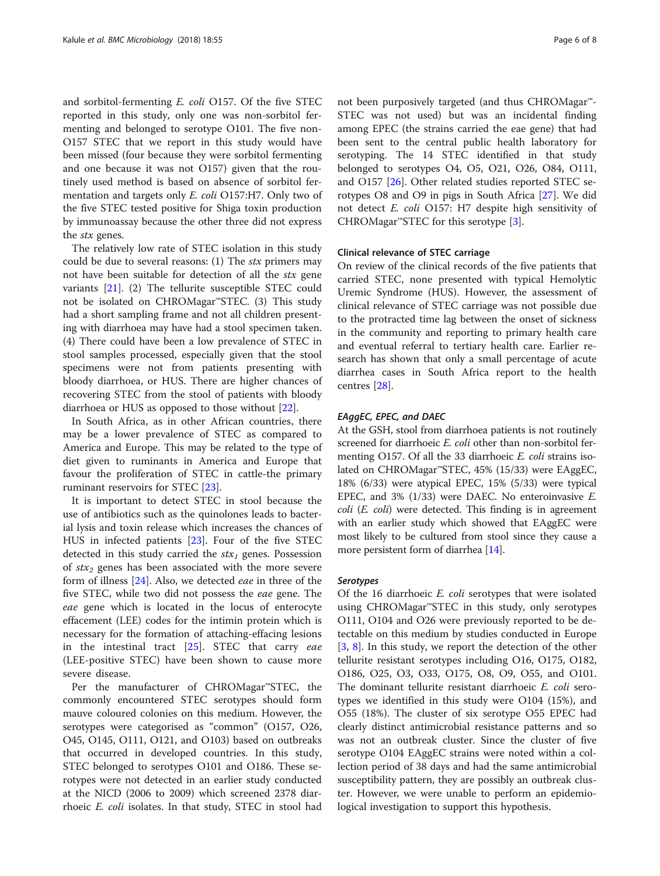and sorbitol-fermenting E. coli O157. Of the five STEC reported in this study, only one was non-sorbitol fermenting and belonged to serotype O101. The five non-O157 STEC that we report in this study would have been missed (four because they were sorbitol fermenting and one because it was not O157) given that the routinely used method is based on absence of sorbitol fermentation and targets only E. coli O157:H7. Only two of the five STEC tested positive for Shiga toxin production by immunoassay because the other three did not express the stx genes.

The relatively low rate of STEC isolation in this study could be due to several reasons: (1) The stx primers may not have been suitable for detection of all the stx gene variants [[21](#page-7-0)]. (2) The tellurite susceptible STEC could not be isolated on CHROMagar™STEC. (3) This study had a short sampling frame and not all children presenting with diarrhoea may have had a stool specimen taken. (4) There could have been a low prevalence of STEC in stool samples processed, especially given that the stool specimens were not from patients presenting with bloody diarrhoea, or HUS. There are higher chances of recovering STEC from the stool of patients with bloody diarrhoea or HUS as opposed to those without [[22](#page-7-0)].

In South Africa, as in other African countries, there may be a lower prevalence of STEC as compared to America and Europe. This may be related to the type of diet given to ruminants in America and Europe that favour the proliferation of STEC in cattle-the primary ruminant reservoirs for STEC [\[23\]](#page-7-0).

It is important to detect STEC in stool because the use of antibiotics such as the quinolones leads to bacterial lysis and toxin release which increases the chances of HUS in infected patients [\[23](#page-7-0)]. Four of the five STEC detected in this study carried the  $stx_1$  genes. Possession of  $stx_2$  genes has been associated with the more severe form of illness [[24\]](#page-7-0). Also, we detected eae in three of the five STEC, while two did not possess the eae gene. The eae gene which is located in the locus of enterocyte effacement (LEE) codes for the intimin protein which is necessary for the formation of attaching-effacing lesions in the intestinal tract  $[25]$  $[25]$ . STEC that carry *eae* (LEE-positive STEC) have been shown to cause more severe disease.

Per the manufacturer of CHROMagar™STEC, the commonly encountered STEC serotypes should form mauve coloured colonies on this medium. However, the serotypes were categorised as "common" (O157, O26, O45, O145, O111, O121, and O103) based on outbreaks that occurred in developed countries. In this study, STEC belonged to serotypes O101 and O186. These serotypes were not detected in an earlier study conducted at the NICD (2006 to 2009) which screened 2378 diarrhoeic E. coli isolates. In that study, STEC in stool had not been purposively targeted (and thus CHROMagar™- STEC was not used) but was an incidental finding among EPEC (the strains carried the eae gene) that had been sent to the central public health laboratory for serotyping. The 14 STEC identified in that study belonged to serotypes O4, O5, O21, O26, O84, O111, and O157 [\[26\]](#page-7-0). Other related studies reported STEC serotypes O8 and O9 in pigs in South Africa [\[27](#page-7-0)]. We did not detect E. coli O157: H7 despite high sensitivity of CHROMagar<sup>™</sup>STEC for this serotype  $[3]$  $[3]$ .

# Clinical relevance of STEC carriage

On review of the clinical records of the five patients that carried STEC, none presented with typical Hemolytic Uremic Syndrome (HUS). However, the assessment of clinical relevance of STEC carriage was not possible due to the protracted time lag between the onset of sickness in the community and reporting to primary health care and eventual referral to tertiary health care. Earlier research has shown that only a small percentage of acute diarrhea cases in South Africa report to the health centres [\[28\]](#page-7-0).

# EAggEC, EPEC, and DAEC

At the GSH, stool from diarrhoea patients is not routinely screened for diarrhoeic E. coli other than non-sorbitol fermenting O157. Of all the 33 diarrhoeic E. coli strains isolated on CHROMagar™STEC, 45% (15/33) were EAggEC, 18% (6/33) were atypical EPEC, 15% (5/33) were typical EPEC, and 3% (1/33) were DAEC. No enteroinvasive E. coli (E. coli) were detected. This finding is in agreement with an earlier study which showed that EAggEC were most likely to be cultured from stool since they cause a more persistent form of diarrhea [[14\]](#page-7-0).

## Serotypes

Of the 16 diarrhoeic E. coli serotypes that were isolated using CHROMagar™STEC in this study, only serotypes O111, O104 and O26 were previously reported to be detectable on this medium by studies conducted in Europe [[3,](#page-7-0) [8](#page-7-0)]. In this study, we report the detection of the other tellurite resistant serotypes including O16, O175, O182, O186, O25, O3, O33, O175, O8, O9, O55, and O101. The dominant tellurite resistant diarrhoeic E. coli serotypes we identified in this study were O104 (15%), and O55 (18%). The cluster of six serotype O55 EPEC had clearly distinct antimicrobial resistance patterns and so was not an outbreak cluster. Since the cluster of five serotype O104 EAggEC strains were noted within a collection period of 38 days and had the same antimicrobial susceptibility pattern, they are possibly an outbreak cluster. However, we were unable to perform an epidemiological investigation to support this hypothesis.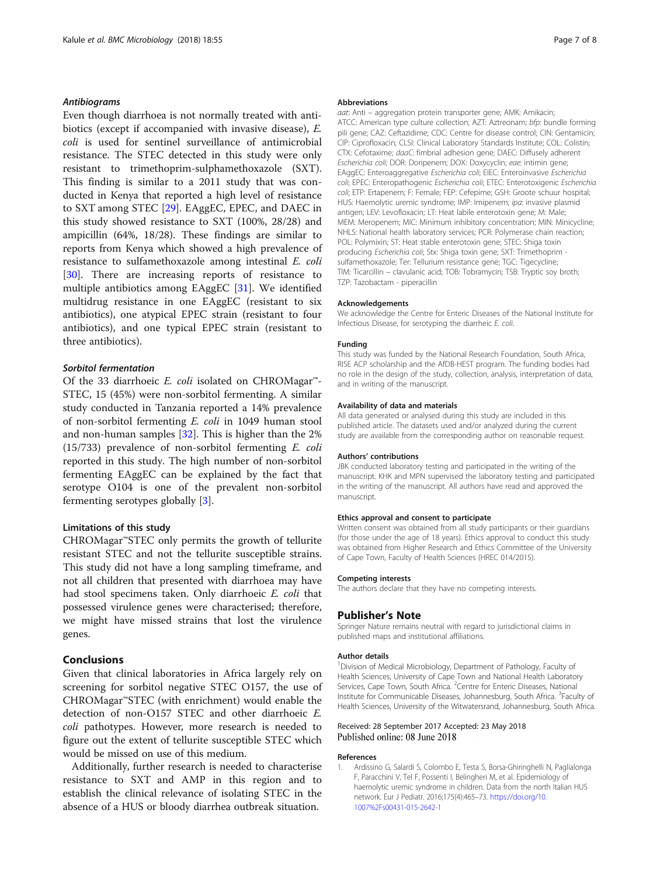# <span id="page-6-0"></span>Antibiograms

Even though diarrhoea is not normally treated with antibiotics (except if accompanied with invasive disease), E. coli is used for sentinel surveillance of antimicrobial resistance. The STEC detected in this study were only resistant to trimethoprim-sulphamethoxazole (SXT). This finding is similar to a 2011 study that was conducted in Kenya that reported a high level of resistance to SXT among STEC [[29\]](#page-7-0). EAggEC, EPEC, and DAEC in this study showed resistance to SXT (100%, 28/28) and ampicillin (64%, 18/28). These findings are similar to reports from Kenya which showed a high prevalence of resistance to sulfamethoxazole among intestinal E. coli [[30\]](#page-7-0). There are increasing reports of resistance to multiple antibiotics among EAggEC [[31](#page-7-0)]. We identified multidrug resistance in one EAggEC (resistant to six antibiotics), one atypical EPEC strain (resistant to four antibiotics), and one typical EPEC strain (resistant to three antibiotics).

# Sorbitol fermentation

Of the 33 diarrhoeic E. coli isolated on CHROMagar™- STEC, 15 (45%) were non-sorbitol fermenting. A similar study conducted in Tanzania reported a 14% prevalence of non-sorbitol fermenting E. coli in 1049 human stool and non-human samples [\[32](#page-7-0)]. This is higher than the 2% (15/733) prevalence of non-sorbitol fermenting E. coli reported in this study. The high number of non-sorbitol fermenting EAggEC can be explained by the fact that serotype O104 is one of the prevalent non-sorbitol fermenting serotypes globally [[3\]](#page-7-0).

# Limitations of this study

CHROMagar™STEC only permits the growth of tellurite resistant STEC and not the tellurite susceptible strains. This study did not have a long sampling timeframe, and not all children that presented with diarrhoea may have had stool specimens taken. Only diarrhoeic E. coli that possessed virulence genes were characterised; therefore, we might have missed strains that lost the virulence genes.

# Conclusions

Given that clinical laboratories in Africa largely rely on screening for sorbitol negative STEC O157, the use of CHROMagar™STEC (with enrichment) would enable the detection of non-O157 STEC and other diarrhoeic E. coli pathotypes. However, more research is needed to figure out the extent of tellurite susceptible STEC which would be missed on use of this medium.

Additionally, further research is needed to characterise resistance to SXT and AMP in this region and to establish the clinical relevance of isolating STEC in the absence of a HUS or bloody diarrhea outbreak situation.

#### Abbreviations

aat: Anti – aggregation protein transporter gene; AMK: Amikacin; ATCC: American type culture collection; AZT: Aztreonam; bfp: bundle forming pili gene; CAZ: Ceftazidime; CDC: Centre for disease control; CIN: Gentamicin; CIP: Ciprofloxacin; CLSI: Clinical Laboratory Standards Institute; COL: Colistin; CTX: Cefotaxime; daaC: fimbrial adhesion gene; DAEC: Diffusely adherent Escherichia coli; DOR: Doripenem; DOX: Doxycyclin; eae: intimin gene; EAggEC: Enteroaggregative Escherichia coli; EIEC: Enteroinvasive Escherichia coli; EPEC: Enteropathogenic Escherichia coli; ETEC: Enterotoxigenic Escherichia coli; ETP: Ertapenem; F: Female; FEP: Cefepime; GSH: Groote schuur hospital; HUS: Haemolytic uremic syndrome; IMP: Imipenem; ipa: invasive plasmid antigen; LEV: Levofloxacin; LT: Heat labile enterotoxin gene; M: Male; MEM: Meropenem; MIC: Minimum inhibitory concentration; MIN: Minicycline; NHLS: National health laboratory services; PCR: Polymerase chain reaction; POL: Polymixin; ST: Heat stable enterotoxin gene; STEC: Shiga toxin producing Escherichia coli; Stx: Shiga toxin gene; SXT: Trimethoprim sulfamethoxazole; Ter: Tellurium resistance gene; TGC: Tigecycline; TIM: Ticarcillin – clavulanic acid; TOB: Tobramycin; TSB: Tryptic soy broth; TZP: Tazobactam - piperacillin

#### Acknowledgements

We acknowledge the Centre for Enteric Diseases of the National Institute for Infectious Disease, for serotyping the diarrheic E. coli.

#### Funding

This study was funded by the National Research Foundation, South Africa, RISE ACP scholarship and the AfDB-HEST program. The funding bodies had no role in the design of the study, collection, analysis, interpretation of data, and in writing of the manuscript.

#### Availability of data and materials

All data generated or analysed during this study are included in this published article. The datasets used and/or analyzed during the current study are available from the corresponding author on reasonable request.

#### Authors' contributions

JBK conducted laboratory testing and participated in the writing of the manuscript. KHK and MPN supervised the laboratory testing and participated in the writing of the manuscript. All authors have read and approved the manuscript.

#### Ethics approval and consent to participate

Written consent was obtained from all study participants or their guardians (for those under the age of 18 years). Ethics approval to conduct this study was obtained from Higher Research and Ethics Committee of the University of Cape Town, Faculty of Health Sciences (HREC 014/2015).

#### Competing interests

The authors declare that they have no competing interests.

#### Publisher's Note

Springer Nature remains neutral with regard to jurisdictional claims in published maps and institutional affiliations.

#### Author details

<sup>1</sup> Division of Medical Microbiology, Department of Pathology, Faculty of Health Sciences, University of Cape Town and National Health Laboratory Services, Cape Town, South Africa. <sup>2</sup>Centre for Enteric Diseases, National Institute for Communicable Diseases, Johannesburg, South Africa. <sup>3</sup>Faculty of Health Sciences, University of the Witwatersrand, Johannesburg, South Africa.

#### Received: 28 September 2017 Accepted: 23 May 2018 Published online: 08 June 2018

#### References

1. Ardissino G, Salardi S, Colombo E, Testa S, Borsa-Ghiringhelli N, Paglialonga F, Paracchini V, Tel F, Possenti I, Belingheri M, et al. Epidemiology of haemolytic uremic syndrome in children. Data from the north Italian HUS network. Eur J Pediatr. 2016;175(4):465–73. [https://doi.org/10.](https://doi.org/10.1007/s00431-015-2642-1) [1007%2Fs00431-015-2642-1](https://doi.org/10.1007/s00431-015-2642-1)